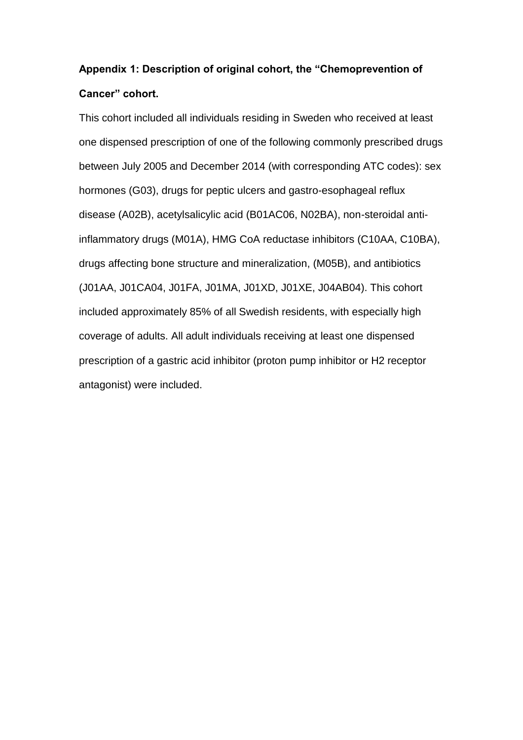## **Appendix 1: Description of original cohort, the "Chemoprevention of Cancer" cohort.**

This cohort included all individuals residing in Sweden who received at least one dispensed prescription of one of the following commonly prescribed drugs between July 2005 and December 2014 (with corresponding ATC codes): sex hormones (G03), drugs for peptic ulcers and gastro-esophageal reflux disease (A02B), acetylsalicylic acid (B01AC06, N02BA), non-steroidal antiinflammatory drugs (M01A), HMG CoA reductase inhibitors (C10AA, C10BA), drugs affecting bone structure and mineralization, (M05B), and antibiotics (J01AA, J01CA04, J01FA, J01MA, J01XD, J01XE, J04AB04). This cohort included approximately 85% of all Swedish residents, with especially high coverage of adults. All adult individuals receiving at least one dispensed prescription of a gastric acid inhibitor (proton pump inhibitor or H2 receptor antagonist) were included.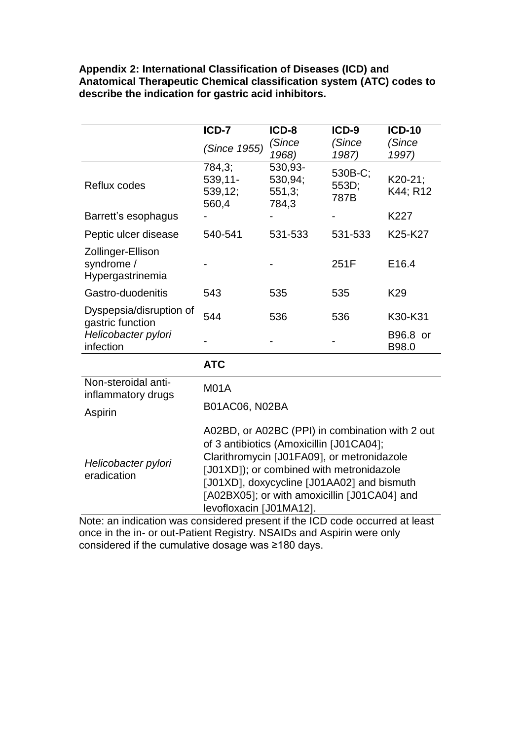**Appendix 2: International Classification of Diseases (ICD) and Anatomical Therapeutic Chemical classification system (ATC) codes to describe the indication for gastric acid inhibitors.**

|                                                                                 | ICD-7                                                                                                                                                                                                                                                                                                          | ICD-8                                 | ICD-9                    | <b>ICD-10</b>       |
|---------------------------------------------------------------------------------|----------------------------------------------------------------------------------------------------------------------------------------------------------------------------------------------------------------------------------------------------------------------------------------------------------------|---------------------------------------|--------------------------|---------------------|
|                                                                                 | (Since 1955)                                                                                                                                                                                                                                                                                                   | (Since<br>1968)                       | (Since<br>1987)          | (Since<br>1997)     |
| Reflux codes                                                                    | 784,3;<br>$539,11-$<br>539,12;<br>560,4                                                                                                                                                                                                                                                                        | 530,93-<br>530,94;<br>551,3;<br>784,3 | 530B-C;<br>553D;<br>787B | K20-21;<br>K44; R12 |
| Barrett's esophagus                                                             |                                                                                                                                                                                                                                                                                                                |                                       |                          | K227                |
| Peptic ulcer disease                                                            | 540-541                                                                                                                                                                                                                                                                                                        | 531-533                               | 531-533                  | K25-K27             |
| Zollinger-Ellison<br>syndrome /<br>Hypergastrinemia                             |                                                                                                                                                                                                                                                                                                                |                                       | 251F                     | E <sub>16.4</sub>   |
| Gastro-duodenitis                                                               | 543                                                                                                                                                                                                                                                                                                            | 535                                   | 535                      | K <sub>29</sub>     |
| Dyspepsia/disruption of<br>gastric function<br>Helicobacter pylori<br>infection | 544                                                                                                                                                                                                                                                                                                            | 536                                   | 536                      | K30-K31             |
|                                                                                 |                                                                                                                                                                                                                                                                                                                |                                       |                          | B96.8 or<br>B98.0   |
|                                                                                 | <b>ATC</b>                                                                                                                                                                                                                                                                                                     |                                       |                          |                     |
| Non-steroidal anti-<br>inflammatory drugs                                       | <b>M01A</b>                                                                                                                                                                                                                                                                                                    |                                       |                          |                     |
| Aspirin                                                                         | B01AC06, N02BA                                                                                                                                                                                                                                                                                                 |                                       |                          |                     |
| Helicobacter pylori<br>eradication                                              | A02BD, or A02BC (PPI) in combination with 2 out<br>of 3 antibiotics (Amoxicillin [J01CA04];<br>Clarithromycin [J01FA09], or metronidazole<br>[J01XD]); or combined with metronidazole<br>[J01XD], doxycycline [J01AA02] and bismuth<br>[A02BX05]; or with amoxicillin [J01CA04] and<br>levofloxacin [J01MA12]. |                                       |                          |                     |

Note: an indication was considered present if the ICD code occurred at least once in the in- or out-Patient Registry. NSAIDs and Aspirin were only considered if the cumulative dosage was ≥180 days.